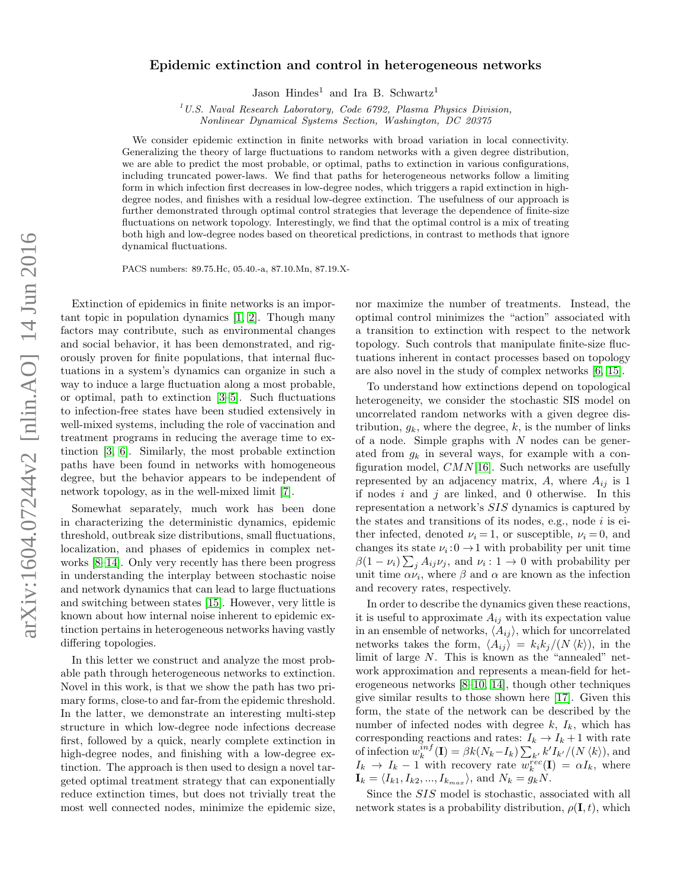## Epidemic extinction and control in heterogeneous networks

Jason Hindes<sup>1</sup> and Ira B. Schwartz<sup>1</sup>

 $1 U.S.$  Naval Research Laboratory, Code 6792, Plasma Physics Division, Nonlinear Dynamical Systems Section, Washington, DC 20375

We consider epidemic extinction in finite networks with broad variation in local connectivity. Generalizing the theory of large fluctuations to random networks with a given degree distribution, we are able to predict the most probable, or optimal, paths to extinction in various configurations, including truncated power-laws. We find that paths for heterogeneous networks follow a limiting form in which infection first decreases in low-degree nodes, which triggers a rapid extinction in highdegree nodes, and finishes with a residual low-degree extinction. The usefulness of our approach is further demonstrated through optimal control strategies that leverage the dependence of finite-size fluctuations on network topology. Interestingly, we find that the optimal control is a mix of treating both high and low-degree nodes based on theoretical predictions, in contrast to methods that ignore dynamical fluctuations.

PACS numbers: 89.75.Hc, 05.40.-a, 87.10.Mn, 87.19.X-

Extinction of epidemics in finite networks is an important topic in population dynamics [\[1,](#page-3-0) [2\]](#page-3-1). Though many factors may contribute, such as environmental changes and social behavior, it has been demonstrated, and rigorously proven for finite populations, that internal fluctuations in a system's dynamics can organize in such a way to induce a large fluctuation along a most probable, or optimal, path to extinction [\[3](#page-3-2)[–5\]](#page-3-3). Such fluctuations to infection-free states have been studied extensively in well-mixed systems, including the role of vaccination and treatment programs in reducing the average time to extinction [\[3,](#page-3-2) [6\]](#page-3-4). Similarly, the most probable extinction paths have been found in networks with homogeneous degree, but the behavior appears to be independent of network topology, as in the well-mixed limit [\[7\]](#page-3-5).

Somewhat separately, much work has been done in characterizing the deterministic dynamics, epidemic threshold, outbreak size distributions, small fluctuations, localization, and phases of epidemics in complex networks [\[8–](#page-3-6)[14\]](#page-3-7). Only very recently has there been progress in understanding the interplay between stochastic noise and network dynamics that can lead to large fluctuations and switching between states [\[15\]](#page-4-0). However, very little is known about how internal noise inherent to epidemic extinction pertains in heterogeneous networks having vastly differing topologies.

In this letter we construct and analyze the most probable path through heterogeneous networks to extinction. Novel in this work, is that we show the path has two primary forms, close-to and far-from the epidemic threshold. In the latter, we demonstrate an interesting multi-step structure in which low-degree node infections decrease first, followed by a quick, nearly complete extinction in high-degree nodes, and finishing with a low-degree extinction. The approach is then used to design a novel targeted optimal treatment strategy that can exponentially reduce extinction times, but does not trivially treat the most well connected nodes, minimize the epidemic size,

nor maximize the number of treatments. Instead, the optimal control minimizes the "action" associated with a transition to extinction with respect to the network topology. Such controls that manipulate finite-size fluctuations inherent in contact processes based on topology are also novel in the study of complex networks [\[6,](#page-3-4) [15\]](#page-4-0).

To understand how extinctions depend on topological heterogeneity, we consider the stochastic SIS model on uncorrelated random networks with a given degree distribution,  $g_k$ , where the degree, k, is the number of links of a node. Simple graphs with  $N$  nodes can be generated from  $g_k$  in several ways, for example with a configuration model,  $CMN[16]$  $CMN[16]$ . Such networks are usefully represented by an adjacency matrix,  $A$ , where  $A_{ij}$  is 1 if nodes  $i$  and  $j$  are linked, and 0 otherwise. In this representation a network's SIS dynamics is captured by the states and transitions of its nodes, e.g., node  $i$  is either infected, denoted  $\nu_i = 1$ , or susceptible,  $\nu_i = 0$ , and changes its state  $\nu_i: 0 \to 1$  with probability per unit time  $\beta(1-\nu_i)\sum_j A_{ij}\nu_j$ , and  $\nu_i: 1 \to 0$  with probability per unit time  $\alpha \nu_i$ , where  $\beta$  and  $\alpha$  are known as the infection and recovery rates, respectively.

In order to describe the dynamics given these reactions, it is useful to approximate  $A_{ij}$  with its expectation value in an ensemble of networks,  $\langle A_{ij} \rangle$ , which for uncorrelated networks takes the form,  $\langle A_{ij} \rangle = k_i k_j/(N \langle k \rangle)$ , in the limit of large N. This is known as the "annealed" network approximation and represents a mean-field for heterogeneous networks [\[8–](#page-3-6)[10,](#page-3-8) [14\]](#page-3-7), though other techniques give similar results to those shown here [\[17\]](#page-4-2). Given this form, the state of the network can be described by the number of infected nodes with degree  $k$ ,  $I_k$ , which has corresponding reactions and rates:  $I_k \to I_k + 1$  with rate of infection  $w_k^{inf}(\mathbf{I}) = \beta k(N_k - I_k) \sum_{k'} k' I_{k'}/(N \langle k \rangle)$ , and  $I_k \to I_k - 1$  with recovery rate  $w_k^{rec}(\mathbf{I}) = \alpha I_k$ , where  $I_k = \langle I_{k1}, I_{k2}, ..., I_{k_{max}} \rangle$ , and  $N_k = g_kN$ .

Since the SIS model is stochastic, associated with all network states is a probability distribution,  $\rho(\mathbf{I}, t)$ , which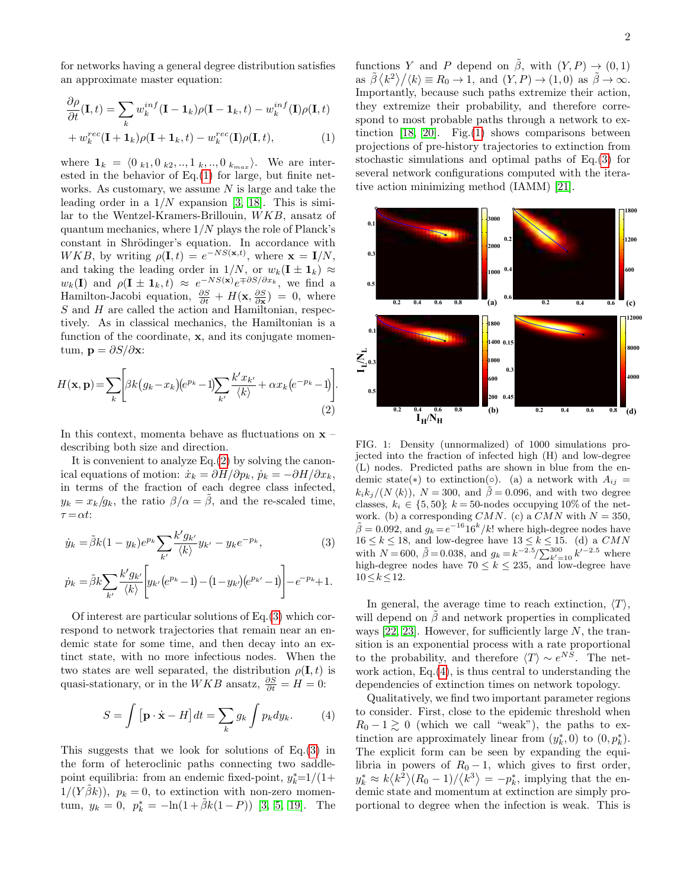$$
\frac{\partial \rho}{\partial t}(\mathbf{I},t) = \sum_{k} w_k^{inf} (\mathbf{I} - \mathbf{1}_k) \rho (\mathbf{I} - \mathbf{1}_k, t) - w_k^{inf} (\mathbf{I}) \rho (\mathbf{I},t) + w_k^{rec} (\mathbf{I} + \mathbf{1}_k) \rho (\mathbf{I} + \mathbf{1}_k, t) - w_k^{rec} (\mathbf{I}) \rho (\mathbf{I},t),
$$
\n(1)

where  $\mathbf{1}_k = \langle 0 \rangle_{k1}, 0 \rangle_{k2}, \dots, 1 \rangle_{k}, \dots, 0 \rangle_{k_{max}}$ . We are interested in the behavior of Eq.[\(1\)](#page-1-0) for large, but finite networks. As customary, we assume  $N$  is large and take the leading order in a  $1/N$  expansion [\[3,](#page-3-2) [18\]](#page-4-3). This is similar to the Wentzel-Kramers-Brillouin, WKB, ansatz of quantum mechanics, where  $1/N$  plays the role of Planck's constant in Shrödinger's equation. In accordance with  $WKB$ , by writing  $\rho(\mathbf{I},t) = e^{-NS(\mathbf{x},t)}$ , where  $\mathbf{x} = \mathbf{I}/N$ , and taking the leading order in  $1/N$ , or  $w_k(\mathbf{I} \pm \mathbf{1}_k) \approx$  $w_k($ I) and  $\rho($ I  $\pm 1_k, t) \approx e^{-NS(\mathbf{x})}e^{\mp \partial S/\partial x_k}$ , we find a Hamilton-Jacobi equation,  $\frac{\partial S}{\partial t} + H(\mathbf{x}, \frac{\partial S}{\partial \mathbf{x}}) = 0$ , where S and H are called the action and Hamiltonian, respectively. As in classical mechanics, the Hamiltonian is a function of the coordinate, **x**, and its conjugate momentum,  $\mathbf{p} = \partial S / \partial \mathbf{x}$ :

$$
H(\mathbf{x}, \mathbf{p}) = \sum_{k} \left[ \beta k (g_k - x_k) (e^{p_k} - 1) \sum_{k'} \frac{k' x_{k'}}{\langle k \rangle} + \alpha x_k (e^{-p_k} - 1) \right].
$$
\n(2)

In this context, momenta behave as fluctuations on  $x$ describing both size and direction.

It is convenient to analyze Eq.[\(2\)](#page-1-1) by solving the canonical equations of motion:  $\dot{x}_k = \partial H/\partial p_k$ ,  $\dot{p}_k = -\partial H/\partial x_k$ , in terms of the fraction of each degree class infected,  $y_k = x_k/g_k$ , the ratio  $\beta/\alpha = \tilde{\beta}$ , and the re-scaled time,  $\tau = \alpha t$ :

$$
\dot{y}_k = \tilde{\beta}k(1 - y_k)e^{p_k} \sum_{k'} \frac{k' g_{k'}}{\langle k \rangle} y_{k'} - y_k e^{-p_k},\tag{3}
$$

$$
\dot{p}_k = \tilde{\beta}k \sum_{k'} \frac{k' g_{k'}}{\langle k \rangle} \left[ y_{k'} \left( e^{p_k} - 1 \right) - (1 - y_{k'}) \left( e^{p_{k'}} - 1 \right) \right] - e^{-p_k} + 1.
$$

Of interest are particular solutions of Eq.[\(3\)](#page-1-2) which correspond to network trajectories that remain near an endemic state for some time, and then decay into an extinct state, with no more infectious nodes. When the two states are well separated, the distribution  $\rho(\mathbf{I}, t)$  is quasi-stationary, or in the  $WKB$  ansatz,  $\frac{\partial S}{\partial t} = H = 0$ :

$$
S = \int \left[\mathbf{p} \cdot \dot{\mathbf{x}} - H\right] dt = \sum_{k} g_k \int p_k dy_k. \tag{4}
$$

This suggests that we look for solutions of Eq.[\(3\)](#page-1-2) in the form of heteroclinic paths connecting two saddlepoint equilibria: from an endemic fixed-point,  $y_k^* = 1/(1 +$  $1/(Y\tilde{\beta}k)$ ,  $p_k = 0$ , to extinction with non-zero momentum,  $y_k = 0$ ,  $p_k^* = -\ln(1 + \tilde{\beta}k(1 - P))$  [\[3,](#page-3-2) [5,](#page-3-3) [19\]](#page-4-4). The

<span id="page-1-0"></span>functions Y and P depend on  $\hat{\beta}$ , with  $(Y, P) \rightarrow (0, 1)$ as  $\tilde{\beta} \langle k^2 \rangle / \langle k \rangle \equiv R_0 \to 1$ , and  $(Y, P) \to (1, 0)$  as  $\tilde{\beta} \to \infty$ . Importantly, because such paths extremize their action, they extremize their probability, and therefore correspond to most probable paths through a network to ex-tinction [\[18,](#page-4-3) [20\]](#page-4-5). Fig.[\(1\)](#page-1-3) shows comparisons between projections of pre-history trajectories to extinction from stochastic simulations and optimal paths of Eq.[\(3\)](#page-1-2) for several network configurations computed with the iterative action minimizing method (IAMM) [\[21\]](#page-4-6).



<span id="page-1-3"></span><span id="page-1-1"></span>FIG. 1: Density (unnormalized) of 1000 simulations projected into the fraction of infected high (H) and low-degree (L) nodes. Predicted paths are shown in blue from the endemic state(\*) to extinction(◦). (a) a network with  $A_{ij} =$  $k_i k_j/(N \langle k \rangle), N = 300$ , and  $\tilde{\beta} = 0.096$ , and with two degree classes,  $k_i \in \{5, 50\}$ ;  $k = 50$ -nodes occupying 10% of the network. (b) a corresponding CMN. (c) a CMN with  $N = 350$ ,  $\tilde{\beta} = 0.092$ , and  $g_k = e^{-16} 16^k / k!$  where high-degree nodes have  $16 \leq k \leq 18,$  and low-degree have  $13 \leq \stackrel{\smile}{k} \leq 15.$  (d) a  $CMN$ with  $N = 600$ ,  $\tilde{\beta} = 0.038$ , and  $g_k = k^{-2.5} / \sum_{k'=10}^{300} k'^{-2.5}$  where high-degree nodes have  $70 \leq k \leq 235$ , and low-degree have  $10 < k < 12$ .

<span id="page-1-2"></span>In general, the average time to reach extinction,  $\langle T \rangle$ , will depend on  $\beta$  and network properties in complicated ways  $[22, 23]$  $[22, 23]$ . However, for sufficiently large N, the transition is an exponential process with a rate proportional to the probability, and therefore  $\langle T \rangle \sim e^{NS}$ . The network action, Eq.[\(4\)](#page-1-4), is thus central to understanding the dependencies of extinction times on network topology.

<span id="page-1-4"></span>Qualitatively, we find two important parameter regions to consider. First, close to the epidemic threshold when  $R_0 - 1 \gtrsim 0$  (which we call "weak"), the paths to extinction are approximately linear from  $(y_k^*, 0)$  to  $(0, p_k^*)$ . The explicit form can be seen by expanding the equilibria in powers of  $R_0 - 1$ , which gives to first order,  $y_k^* \approx k \langle k^2 \rangle (R_0 - 1) / \langle k^3 \rangle = -p_k^*$ , implying that the endemic state and momentum at extinction are simply proportional to degree when the infection is weak. This is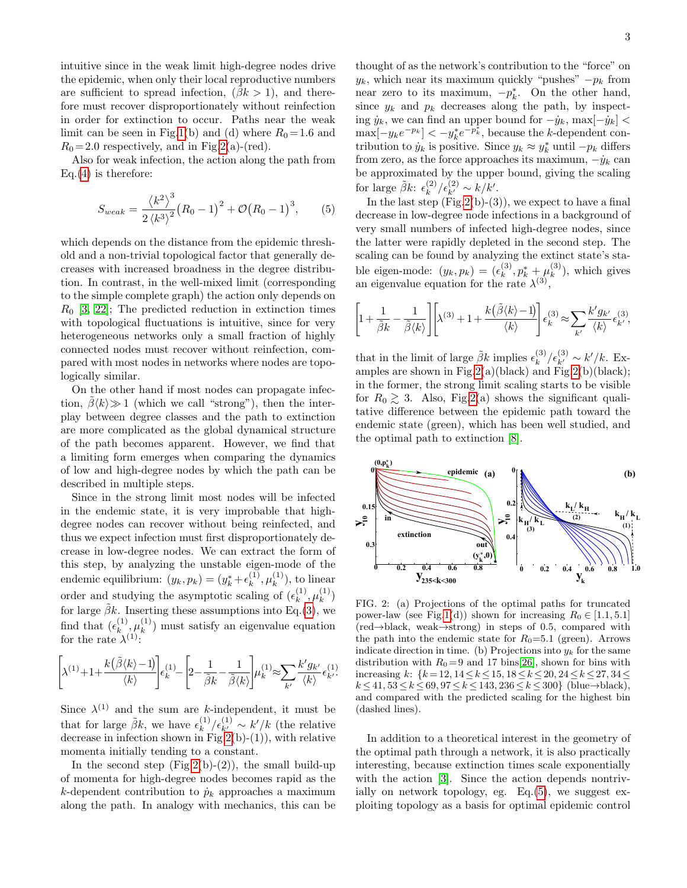intuitive since in the weak limit high-degree nodes drive the epidemic, when only their local reproductive numbers are sufficient to spread infection,  $(\beta k > 1)$ , and therefore must recover disproportionately without reinfection in order for extinction to occur. Paths near the weak limit can be seen in Fig[.1\(](#page-1-3)b) and (d) where  $R_0 = 1.6$  and  $R_0 = 2.0$  respectively, and in Fig[.2\(](#page-2-0)a)-(red).

Also for weak infection, the action along the path from  $Eq.(4)$  $Eq.(4)$  is therefore:

$$
S_{weak} = \frac{\langle k^2 \rangle^3}{2 \langle k^3 \rangle^2} (R_0 - 1)^2 + \mathcal{O}(R_0 - 1)^3, \quad (5)
$$

which depends on the distance from the epidemic threshold and a non-trivial topological factor that generally decreases with increased broadness in the degree distribution. In contrast, in the well-mixed limit (corresponding to the simple complete graph) the action only depends on  $R_0$  [\[3,](#page-3-2) [22\]](#page-4-7); The predicted reduction in extinction times with topological fluctuations is intuitive, since for very heterogeneous networks only a small fraction of highly connected nodes must recover without reinfection, compared with most nodes in networks where nodes are topologically similar.

On the other hand if most nodes can propagate infection,  $\beta \langle k \rangle \gg 1$  (which we call "strong"), then the interplay between degree classes and the path to extinction are more complicated as the global dynamical structure of the path becomes apparent. However, we find that a limiting form emerges when comparing the dynamics of low and high-degree nodes by which the path can be described in multiple steps.

Since in the strong limit most nodes will be infected in the endemic state, it is very improbable that highdegree nodes can recover without being reinfected, and thus we expect infection must first disproportionately decrease in low-degree nodes. We can extract the form of this step, by analyzing the unstable eigen-mode of the endemic equilibrium:  $(y_k, p_k) = (y_k^* + \epsilon_k^{(1)})$  $_{k}^{(1)},\mu_{k}^{(1)}$  $\binom{1}{k}$ , to linear order and studying the asymptotic scaling of  $(\epsilon_k^{(1)})$  $_{k}^{(1)},\mu_{k}^{(1)}$  $\binom{1}{k}$ for large  $\tilde{\beta}k$ . Inserting these assumptions into Eq.[\(3\)](#page-1-2), we find that  $(\epsilon_k^{(1)})$  $_{k}^{(1)},\mu_{k}^{(1)}$  $\binom{1}{k}$  must satisfy an eigenvalue equation for the rate  $\lambda^{(1)}$ :

$$
\left[\hspace{-1mm}\lambda^{(1)}\hspace{-1mm}+\hspace{-1mm}1\hspace{-1mm}+\hspace{-1mm}\frac{k\big(\tilde{\beta}\langle k\rangle\hspace{-1mm}-\hspace{-1mm}1\big)}{\langle k\rangle}\hspace{-1mm}\right]\hspace{-1mm}\epsilon_k^{(1)}\hspace{-1mm}-\hspace{-1mm}\left[\hspace{-1mm}2\hspace{-1mm}-\hspace{-1mm}\frac{1}{\tilde{\beta}k}\hspace{-1mm}-\hspace{-1mm}\frac{1}{\tilde{\beta}\langle k\rangle}\hspace{-1mm}\right]\hspace{-1mm}\mu_k^{(1)}\hspace{-1mm}\approx\hspace{-1mm}\sum_{k'}\hspace{-1mm}\frac{k'g_{k'}}{\langle k\rangle}\hspace{-1mm}\epsilon_{k'}^{(1)}\hspace{-1mm}.
$$

Since  $\lambda^{(1)}$  and the sum are k-independent, it must be that for large  $\tilde{\beta}k$ , we have  $\epsilon_k^{(1)}$  $\binom{1}{k}$ / $\epsilon_{k'}^{(1)} \sim k'/k$  (the relative decrease in infection shown in Fig.  $2(b)-(1)$ , with relative momenta initially tending to a constant.

In the second step  $(Fig.2(b)-(2))$  $(Fig.2(b)-(2))$  $(Fig.2(b)-(2))$ , the small build-up of momenta for high-degree nodes becomes rapid as the k-dependent contribution to  $\dot{p}_k$  approaches a maximum along the path. In analogy with mechanics, this can be

thought of as the network's contribution to the "force" on  $y_k$ , which near its maximum quickly "pushes"  $-p_k$  from near zero to its maximum,  $-p_k^*$ . On the other hand, since  $y_k$  and  $p_k$  decreases along the path, by inspecting  $\dot{y}_k$ , we can find an upper bound for  $-\dot{y}_k$ , max $[-\dot{y}_k]$  <  $\max[-y_k e^{-p_k}] < -y_k^* e^{-p_k^*}$ , because the k-dependent contribution to  $\dot{y}_k$  is positive. Since  $y_k \approx y_k^*$  until  $-p_k$  differs from zero, as the force approaches its maximum,  $-\dot{y}_k$  can be approximated by the upper bound, giving the scaling for large  $\tilde{\beta}k$ :  $\epsilon_k^{(2)}$  $k^{(2)}/\epsilon_{k'}^{(2)} \sim k/k'.$ 

<span id="page-2-1"></span>In the last step  $(Fig.2(b)-(3))$  $(Fig.2(b)-(3))$  $(Fig.2(b)-(3))$ , we expect to have a final decrease in low-degree node infections in a background of very small numbers of infected high-degree nodes, since the latter were rapidly depleted in the second step. The scaling can be found by analyzing the extinct state's stable eigen-mode:  $(y_k, p_k) = (\epsilon_k^{(3)})$  $\mu_k^{(3)}, p_k^* + \mu_k^{(3)}$  $\binom{5}{k}$ , which gives an eigenvalue equation for the rate  $\lambda^{(3)}$ ,

$$
\left[1 + \frac{1}{\tilde{\beta}k} - \frac{1}{\tilde{\beta}\langle k \rangle}\right] \left[\lambda^{(3)} + 1 + \frac{k(\tilde{\beta}\langle k \rangle - 1)}{\langle k \rangle}\right] \epsilon_k^{(3)} \approx \sum_{k'} \frac{k' g_{k'}}{\langle k \rangle} \epsilon_{k'}^{(3)},
$$

that in the limit of large  $\tilde{\beta}k$  implies  $\epsilon_k^{(3)}$  $k^{(3)}/\epsilon_{k'}^{(3)} \sim k'/k$ . Ex-amples are shown in Fig[.2\(](#page-2-0)a)(black) and Fig.2(b)(black); in the former, the strong limit scaling starts to be visible for  $R_0 \geq 3$ . Also, Fig. 2(a) shows the significant qualitative difference between the epidemic path toward the endemic state (green), which has been well studied, and the optimal path to extinction [\[8\]](#page-3-6).



<span id="page-2-0"></span>FIG. 2: (a) Projections of the optimal paths for truncated power-law (see Fig[.1\(](#page-1-3)d)) shown for increasing  $R_0 \in [1.1, 5.1]$ (red→black, weak→strong) in steps of 0.5, compared with the path into the endemic state for  $R_0=5.1$  (green). Arrows indicate direction in time. (b) Projections into  $y_k$  for the same distribution with  $R_0 = 9$  and 17 bins[\[26\]](#page-4-9), shown for bins with increasing k:  $\{k = 12, 14 \le k \le 15, 18 \le k \le 20, 24 \le k \le 27, 34 \le k \le 27, 34 \le k \le 27, 34 \le k \le 27, 34 \le k \le 27, 34 \le k \le 27, 34 \le k \le 27, 34 \le k \le 27, 34 \le k \le 27, 34 \le k \le 27, 34 \le k \le 27, 34 \le k \le 27, 34 \le k \le 27, 34 \le k \le 27, 34 \le k$ k ≤41, 53≤k ≤69, 97≤k ≤143, 236≤k ≤300} (blue→black), and compared with the predicted scaling for the highest bin (dashed lines).

In addition to a theoretical interest in the geometry of the optimal path through a network, it is also practically interesting, because extinction times scale exponentially with the action [\[3\]](#page-3-2). Since the action depends nontrivially on network topology, eg.  $Eq.(5)$  $Eq.(5)$ , we suggest exploiting topology as a basis for optimal epidemic control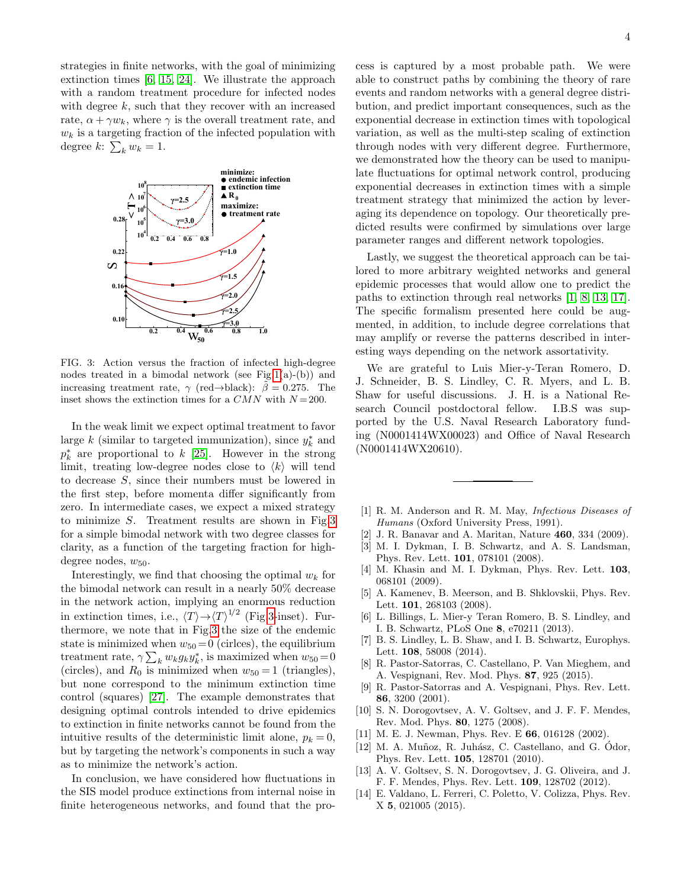strategies in finite networks, with the goal of minimizing extinction times [\[6,](#page-3-4) [15,](#page-4-0) [24\]](#page-4-10). We illustrate the approach with a random treatment procedure for infected nodes with degree  $k$ , such that they recover with an increased rate,  $\alpha + \gamma w_k$ , where  $\gamma$  is the overall treatment rate, and  $w_k$  is a targeting fraction of the infected population with degree  $k: \sum_{k} w_k = 1$ .



<span id="page-3-9"></span>FIG. 3: Action versus the fraction of infected high-degree nodes treated in a bimodal network (see Fig[.1\(](#page-1-3)a)-(b)) and increasing treatment rate,  $\gamma$  (red→black):  $\tilde{\beta} = 0.275$ . The inset shows the extinction times for a  $CMN$  with  $N=200$ .

In the weak limit we expect optimal treatment to favor large  $k$  (similar to targeted immunization), since  $y_k^*$  and  $p_k^*$  are proportional to k [\[25\]](#page-4-11). However in the strong limit, treating low-degree nodes close to  $\langle k \rangle$  will tend to decrease S, since their numbers must be lowered in the first step, before momenta differ significantly from zero. In intermediate cases, we expect a mixed strategy to minimize S. Treatment results are shown in Fig[.3](#page-3-9) for a simple bimodal network with two degree classes for clarity, as a function of the targeting fraction for highdegree nodes,  $w_{50}$ .

Interestingly, we find that choosing the optimal  $w_k$  for the bimodal network can result in a nearly 50% decrease in the network action, implying an enormous reduction in extinction times, i.e.,  $\langle T \rangle \rightarrow \langle T \rangle^{1/2}$  (Fig[.3-](#page-3-9)inset). Furthermore, we note that in Fig[.3](#page-3-9) the size of the endemic state is minimized when  $w_{50} = 0$  (circles), the equilibrium treatment rate,  $\gamma \sum_{k} w_{k} g_{k} y_{k}^{*}$ , is maximized when  $w_{50} = 0$ (circles), and  $R_0$  is minimized when  $w_{50} = 1$  (triangles), but none correspond to the minimum extinction time control (squares) [\[27\]](#page-4-12). The example demonstrates that designing optimal controls intended to drive epidemics to extinction in finite networks cannot be found from the intuitive results of the deterministic limit alone,  $p_k = 0$ , but by targeting the network's components in such a way as to minimize the network's action.

In conclusion, we have considered how fluctuations in the SIS model produce extinctions from internal noise in finite heterogeneous networks, and found that the process is captured by a most probable path. We were able to construct paths by combining the theory of rare events and random networks with a general degree distribution, and predict important consequences, such as the exponential decrease in extinction times with topological variation, as well as the multi-step scaling of extinction through nodes with very different degree. Furthermore, we demonstrated how the theory can be used to manipulate fluctuations for optimal network control, producing exponential decreases in extinction times with a simple treatment strategy that minimized the action by leveraging its dependence on topology. Our theoretically predicted results were confirmed by simulations over large parameter ranges and different network topologies.

Lastly, we suggest the theoretical approach can be tailored to more arbitrary weighted networks and general epidemic processes that would allow one to predict the paths to extinction through real networks [\[1,](#page-3-0) [8,](#page-3-6) [13,](#page-3-10) [17\]](#page-4-2). The specific formalism presented here could be augmented, in addition, to include degree correlations that may amplify or reverse the patterns described in interesting ways depending on the network assortativity.

We are grateful to Luis Mier-y-Teran Romero, D. J. Schneider, B. S. Lindley, C. R. Myers, and L. B. Shaw for useful discussions. J. H. is a National Research Council postdoctoral fellow. I.B.S was supported by the U.S. Naval Research Laboratory funding (N0001414WX00023) and Office of Naval Research (N0001414WX20610).

- <span id="page-3-0"></span>[1] R. M. Anderson and R. M. May, Infectious Diseases of Humans (Oxford University Press, 1991).
- <span id="page-3-1"></span>[2] J. R. Banavar and A. Maritan, Nature 460, 334 (2009).
- <span id="page-3-2"></span>[3] M. I. Dykman, I. B. Schwartz, and A. S. Landsman, Phys. Rev. Lett. 101, 078101 (2008).
- [4] M. Khasin and M. I. Dykman, Phys. Rev. Lett. 103, 068101 (2009).
- <span id="page-3-3"></span>[5] A. Kamenev, B. Meerson, and B. Shklovskii, Phys. Rev. Lett. 101, 268103 (2008).
- <span id="page-3-4"></span>[6] L. Billings, L. Mier-y Teran Romero, B. S. Lindley, and I. B. Schwartz, PLoS One 8, e70211 (2013).
- <span id="page-3-5"></span>[7] B. S. Lindley, L. B. Shaw, and I. B. Schwartz, Europhys. Lett. 108, 58008 (2014).
- <span id="page-3-6"></span>[8] R. Pastor-Satorras, C. Castellano, P. Van Mieghem, and A. Vespignani, Rev. Mod. Phys. 87, 925 (2015).
- [9] R. Pastor-Satorras and A. Vespignani, Phys. Rev. Lett. 86, 3200 (2001).
- <span id="page-3-8"></span>[10] S. N. Dorogovtsev, A. V. Goltsev, and J. F. F. Mendes, Rev. Mod. Phys. 80, 1275 (2008).
- [11] M. E. J. Newman, Phys. Rev. E 66, 016128 (2002).
- [12] M. A. Muñoz, R. Juhász, C. Castellano, and G. Ódor, Phys. Rev. Lett. 105, 128701 (2010).
- <span id="page-3-10"></span>[13] A. V. Goltsev, S. N. Dorogovtsev, J. G. Oliveira, and J. F. F. Mendes, Phys. Rev. Lett. 109, 128702 (2012).
- <span id="page-3-7"></span>[14] E. Valdano, L. Ferreri, C. Poletto, V. Colizza, Phys. Rev. X 5, 021005 (2015).